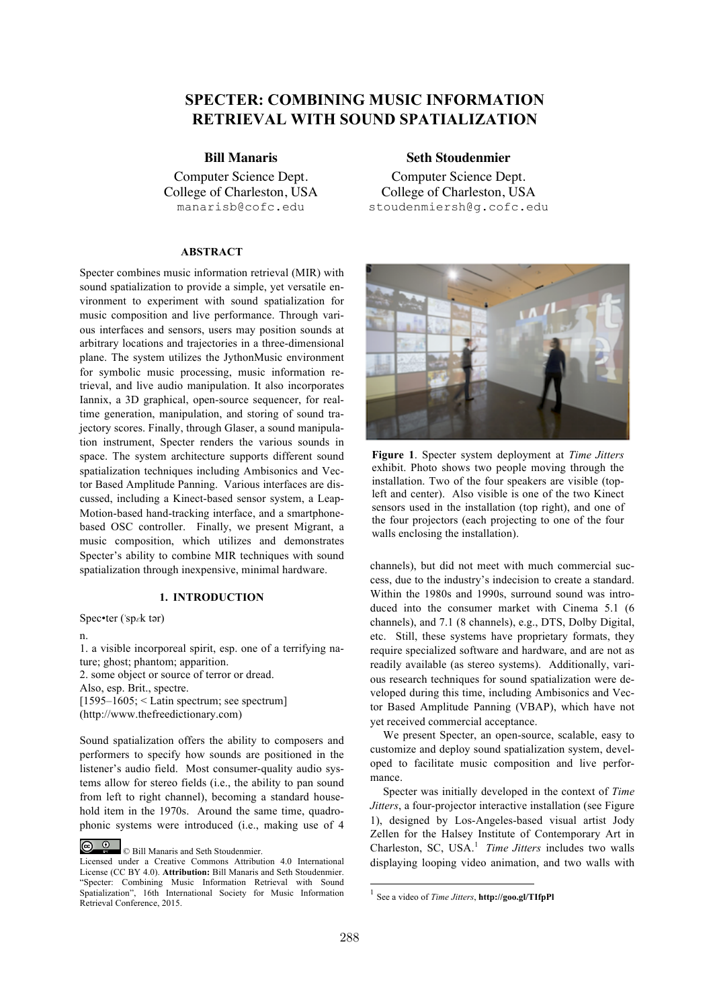# **SPECTER: COMBINING MUSIC INFORMATION RETRIEVAL WITH SOUND SPATIALIZATION**

Computer Science Dept. College of Charleston, USA manarisb@cofc.edu

## **ABSTRACT**

Specter combines music information retrieval (MIR) with sound spatialization to provide a simple, yet versatile environment to experiment with sound spatialization for music composition and live performance. Through various interfaces and sensors, users may position sounds at arbitrary locations and trajectories in a three-dimensional plane. The system utilizes the JythonMusic environment for symbolic music processing, music information retrieval, and live audio manipulation. It also incorporates Iannix, a 3D graphical, open-source sequencer, for realtime generation, manipulation, and storing of sound trajectory scores. Finally, through Glaser, a sound manipulation instrument, Specter renders the various sounds in space. The system architecture supports different sound spatialization techniques including Ambisonics and Vector Based Amplitude Panning. Various interfaces are discussed, including a Kinect-based sensor system, a Leap-Motion-based hand-tracking interface, and a smartphonebased OSC controller. Finally, we present Migrant, a music composition, which utilizes and demonstrates Specter's ability to combine MIR techniques with sound spatialization through inexpensive, minimal hardware.

# **1. INTRODUCTION**

Spec•ter ('sp $\varepsilon$ k tər)

n.

1. a visible incorporeal spirit, esp. one of a terrifying nature; ghost; phantom; apparition. 2. some object or source of terror or dread. Also, esp. Brit., spectre.  $[1595-1605]$  < Latin spectrum; see spectrum] (http://www.thefreedictionary.com)

Sound spatialization offers the ability to composers and performers to specify how sounds are positioned in the listener's audio field. Most consumer-quality audio systems allow for stereo fields (i.e., the ability to pan sound from left to right channel), becoming a standard household item in the 1970s. Around the same time, quadrophonic systems were introduced (i.e., making use of 4

© Bill Manaris and Seth Stoudenmier.

**Bill Manaris Seth Stoudenmier**

Computer Science Dept. College of Charleston, USA stoudenmiersh@g.cofc.edu



**Figure 1**. Specter system deployment at *Time Jitters* exhibit. Photo shows two people moving through the installation. Two of the four speakers are visible (topleft and center). Also visible is one of the two Kinect sensors used in the installation (top right), and one of the four projectors (each projecting to one of the four walls enclosing the installation).

channels), but did not meet with much commercial success, due to the industry's indecision to create a standard. Within the 1980s and 1990s, surround sound was introduced into the consumer market with Cinema 5.1 (6 channels), and 7.1 (8 channels), e.g., DTS, Dolby Digital, etc. Still, these systems have proprietary formats, they require specialized software and hardware, and are not as readily available (as stereo systems). Additionally, various research techniques for sound spatialization were developed during this time, including Ambisonics and Vector Based Amplitude Panning (VBAP), which have not yet received commercial acceptance.

We present Specter, an open-source, scalable, easy to customize and deploy sound spatialization system, developed to facilitate music composition and live performance.

Specter was initially developed in the context of *Time Jitters*, a four-projector interactive installation (see Figure 1), designed by Los-Angeles-based visual artist Jody Zellen for the Halsey Institute of Contemporary Art in Charleston, SC, USA.<sup>1</sup> *Time Jitters* includes two walls displaying looping video animation, and two walls with

Licensed under a Creative Commons Attribution 4.0 International License (CC BY 4.0). **Attribution:** Bill Manaris and Seth Stoudenmier. "Specter: Combining Music Information Retrieval with Sound Spatialization", 16th International Society for Music Information Retrieval Conference, 2015.

 <sup>1</sup> See a video of *Time Jitters*, **http://goo.gl/TIfpPl**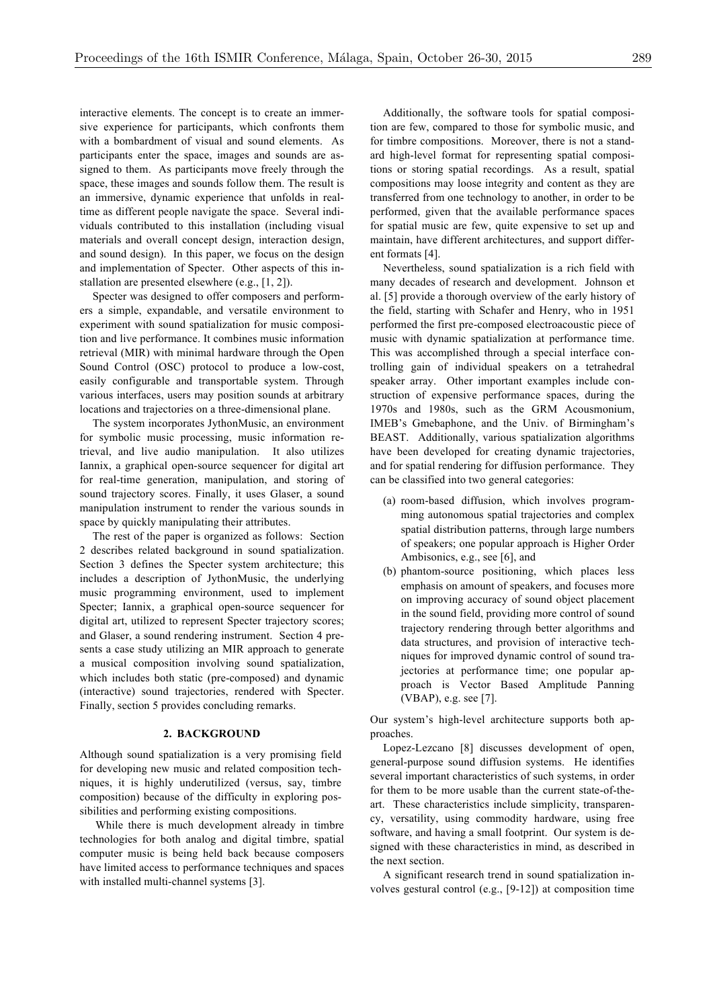interactive elements. The concept is to create an immersive experience for participants, which confronts them with a bombardment of visual and sound elements. As participants enter the space, images and sounds are assigned to them. As participants move freely through the space, these images and sounds follow them. The result is an immersive, dynamic experience that unfolds in realtime as different people navigate the space. Several individuals contributed to this installation (including visual materials and overall concept design, interaction design, and sound design). In this paper, we focus on the design and implementation of Specter. Other aspects of this installation are presented elsewhere (e.g., [1, 2]).

Specter was designed to offer composers and performers a simple, expandable, and versatile environment to experiment with sound spatialization for music composition and live performance. It combines music information retrieval (MIR) with minimal hardware through the Open Sound Control (OSC) protocol to produce a low-cost, easily configurable and transportable system. Through various interfaces, users may position sounds at arbitrary locations and trajectories on a three-dimensional plane.

The system incorporates JythonMusic, an environment for symbolic music processing, music information retrieval, and live audio manipulation. It also utilizes Iannix, a graphical open-source sequencer for digital art for real-time generation, manipulation, and storing of sound trajectory scores. Finally, it uses Glaser, a sound manipulation instrument to render the various sounds in space by quickly manipulating their attributes.

The rest of the paper is organized as follows: Section 2 describes related background in sound spatialization. Section 3 defines the Specter system architecture; this includes a description of JythonMusic, the underlying music programming environment, used to implement Specter; Iannix, a graphical open-source sequencer for digital art, utilized to represent Specter trajectory scores; and Glaser, a sound rendering instrument. Section 4 presents a case study utilizing an MIR approach to generate a musical composition involving sound spatialization, which includes both static (pre-composed) and dynamic (interactive) sound trajectories, rendered with Specter. Finally, section 5 provides concluding remarks.

#### **2. BACKGROUND**

Although sound spatialization is a very promising field for developing new music and related composition techniques, it is highly underutilized (versus, say, timbre composition) because of the difficulty in exploring possibilities and performing existing compositions.

While there is much development already in timbre technologies for both analog and digital timbre, spatial computer music is being held back because composers have limited access to performance techniques and spaces with installed multi-channel systems [3].

Additionally, the software tools for spatial composition are few, compared to those for symbolic music, and for timbre compositions. Moreover, there is not a standard high-level format for representing spatial compositions or storing spatial recordings. As a result, spatial compositions may loose integrity and content as they are transferred from one technology to another, in order to be performed, given that the available performance spaces for spatial music are few, quite expensive to set up and maintain, have different architectures, and support different formats [4].

Nevertheless, sound spatialization is a rich field with many decades of research and development. Johnson et al. [5] provide a thorough overview of the early history of the field, starting with Schafer and Henry, who in 1951 performed the first pre-composed electroacoustic piece of music with dynamic spatialization at performance time. This was accomplished through a special interface controlling gain of individual speakers on a tetrahedral speaker array. Other important examples include construction of expensive performance spaces, during the 1970s and 1980s, such as the GRM Acousmonium, IMEB's Gmebaphone, and the Univ. of Birmingham's BEAST. Additionally, various spatialization algorithms have been developed for creating dynamic trajectories, and for spatial rendering for diffusion performance. They can be classified into two general categories:

- (a) room-based diffusion, which involves programming autonomous spatial trajectories and complex spatial distribution patterns, through large numbers of speakers; one popular approach is Higher Order Ambisonics, e.g., see [6], and
- (b) phantom-source positioning, which places less emphasis on amount of speakers, and focuses more on improving accuracy of sound object placement in the sound field, providing more control of sound trajectory rendering through better algorithms and data structures, and provision of interactive techniques for improved dynamic control of sound trajectories at performance time; one popular approach is Vector Based Amplitude Panning (VBAP), e.g. see [7].

Our system's high-level architecture supports both approaches.

Lopez-Lezcano [8] discusses development of open, general-purpose sound diffusion systems. He identifies several important characteristics of such systems, in order for them to be more usable than the current state-of-theart. These characteristics include simplicity, transparency, versatility, using commodity hardware, using free software, and having a small footprint. Our system is designed with these characteristics in mind, as described in the next section.

A significant research trend in sound spatialization involves gestural control (e.g., [9-12]) at composition time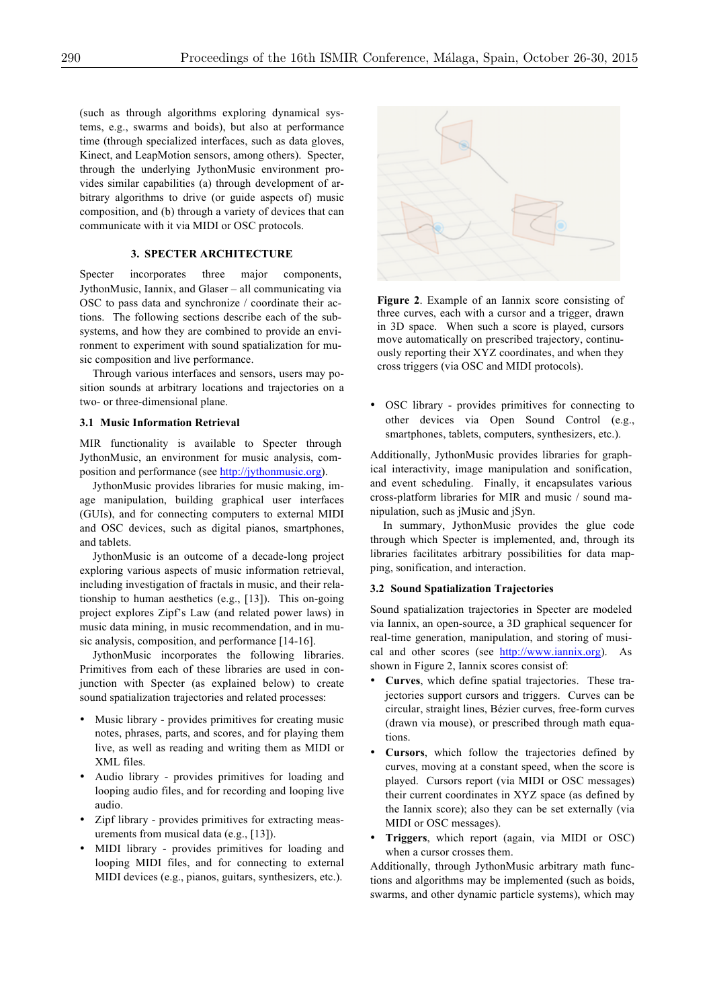(such as through algorithms exploring dynamical systems, e.g., swarms and boids), but also at performance time (through specialized interfaces, such as data gloves, Kinect, and LeapMotion sensors, among others). Specter, through the underlying JythonMusic environment provides similar capabilities (a) through development of arbitrary algorithms to drive (or guide aspects of) music composition, and (b) through a variety of devices that can communicate with it via MIDI or OSC protocols.

# **3. SPECTER ARCHITECTURE**

Specter incorporates three major components, JythonMusic, Iannix, and Glaser – all communicating via OSC to pass data and synchronize / coordinate their actions. The following sections describe each of the subsystems, and how they are combined to provide an environment to experiment with sound spatialization for music composition and live performance.

Through various interfaces and sensors, users may position sounds at arbitrary locations and trajectories on a two- or three-dimensional plane.

#### **3.1 Music Information Retrieval**

MIR functionality is available to Specter through JythonMusic, an environment for music analysis, composition and performance (see http://jythonmusic.org).

JythonMusic provides libraries for music making, image manipulation, building graphical user interfaces (GUIs), and for connecting computers to external MIDI and OSC devices, such as digital pianos, smartphones, and tablets.

JythonMusic is an outcome of a decade-long project exploring various aspects of music information retrieval, including investigation of fractals in music, and their relationship to human aesthetics (e.g., [13]). This on-going project explores Zipf's Law (and related power laws) in music data mining, in music recommendation, and in music analysis, composition, and performance [14-16].

JythonMusic incorporates the following libraries. Primitives from each of these libraries are used in conjunction with Specter (as explained below) to create sound spatialization trajectories and related processes:

- Music library provides primitives for creating music notes, phrases, parts, and scores, and for playing them live, as well as reading and writing them as MIDI or XML files.
- Audio library provides primitives for loading and looping audio files, and for recording and looping live audio.
- Zipf library provides primitives for extracting measurements from musical data (e.g., [13]).
- MIDI library provides primitives for loading and looping MIDI files, and for connecting to external MIDI devices (e.g., pianos, guitars, synthesizers, etc.).



**Figure 2**. Example of an Iannix score consisting of three curves, each with a cursor and a trigger, drawn in 3D space. When such a score is played, cursors move automatically on prescribed trajectory, continuously reporting their XYZ coordinates, and when they cross triggers (via OSC and MIDI protocols).

• OSC library - provides primitives for connecting to other devices via Open Sound Control (e.g., smartphones, tablets, computers, synthesizers, etc.).

Additionally, JythonMusic provides libraries for graphical interactivity, image manipulation and sonification, and event scheduling. Finally, it encapsulates various cross-platform libraries for MIR and music / sound manipulation, such as jMusic and jSyn.

In summary, JythonMusic provides the glue code through which Specter is implemented, and, through its libraries facilitates arbitrary possibilities for data mapping, sonification, and interaction.

## **3.2 Sound Spatialization Trajectories**

Sound spatialization trajectories in Specter are modeled via Iannix, an open-source, a 3D graphical sequencer for real-time generation, manipulation, and storing of musical and other scores (see http://www.iannix.org). As shown in Figure 2, Iannix scores consist of:

- **Curves**, which define spatial trajectories. These trajectories support cursors and triggers. Curves can be circular, straight lines, Bézier curves, free-form curves (drawn via mouse), or prescribed through math equations.
- **Cursors**, which follow the trajectories defined by curves, moving at a constant speed, when the score is played. Cursors report (via MIDI or OSC messages) their current coordinates in XYZ space (as defined by the Iannix score); also they can be set externally (via MIDI or OSC messages).
- **Triggers**, which report (again, via MIDI or OSC) when a cursor crosses them.

Additionally, through JythonMusic arbitrary math functions and algorithms may be implemented (such as boids, swarms, and other dynamic particle systems), which may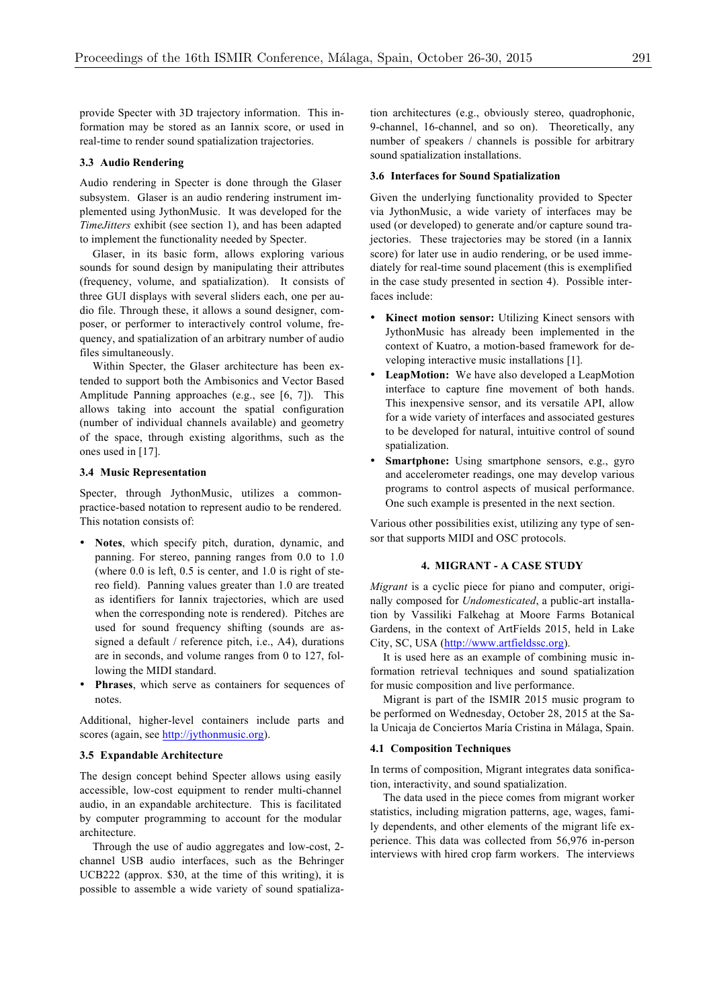provide Specter with 3D trajectory information. This information may be stored as an Iannix score, or used in real-time to render sound spatialization trajectories.

## **3.3 Audio Rendering**

Audio rendering in Specter is done through the Glaser subsystem. Glaser is an audio rendering instrument implemented using JythonMusic. It was developed for the *TimeJitters* exhibit (see section 1), and has been adapted to implement the functionality needed by Specter.

Glaser, in its basic form, allows exploring various sounds for sound design by manipulating their attributes (frequency, volume, and spatialization). It consists of three GUI displays with several sliders each, one per audio file. Through these, it allows a sound designer, composer, or performer to interactively control volume, frequency, and spatialization of an arbitrary number of audio files simultaneously.

Within Specter, the Glaser architecture has been extended to support both the Ambisonics and Vector Based Amplitude Panning approaches (e.g., see [6, 7]). This allows taking into account the spatial configuration (number of individual channels available) and geometry of the space, through existing algorithms, such as the ones used in [17].

## **3.4 Music Representation**

Specter, through JythonMusic, utilizes a commonpractice-based notation to represent audio to be rendered. This notation consists of:

- **Notes**, which specify pitch, duration, dynamic, and panning. For stereo, panning ranges from 0.0 to 1.0 (where 0.0 is left, 0.5 is center, and 1.0 is right of stereo field). Panning values greater than 1.0 are treated as identifiers for Iannix trajectories, which are used when the corresponding note is rendered). Pitches are used for sound frequency shifting (sounds are assigned a default / reference pitch, i.e., A4), durations are in seconds, and volume ranges from 0 to 127, following the MIDI standard.
- **Phrases**, which serve as containers for sequences of notes.

Additional, higher-level containers include parts and scores (again, see http://jythonmusic.org).

### **3.5 Expandable Architecture**

The design concept behind Specter allows using easily accessible, low-cost equipment to render multi-channel audio, in an expandable architecture. This is facilitated by computer programming to account for the modular architecture.

Through the use of audio aggregates and low-cost, 2 channel USB audio interfaces, such as the Behringer UCB222 (approx. \$30, at the time of this writing), it is possible to assemble a wide variety of sound spatializa-

tion architectures (e.g., obviously stereo, quadrophonic, 9-channel, 16-channel, and so on). Theoretically, any number of speakers / channels is possible for arbitrary sound spatialization installations.

## **3.6 Interfaces for Sound Spatialization**

Given the underlying functionality provided to Specter via JythonMusic, a wide variety of interfaces may be used (or developed) to generate and/or capture sound trajectories. These trajectories may be stored (in a Iannix score) for later use in audio rendering, or be used immediately for real-time sound placement (this is exemplified in the case study presented in section 4). Possible interfaces include:

- Kinect motion sensor: Utilizing Kinect sensors with JythonMusic has already been implemented in the context of Kuatro, a motion-based framework for developing interactive music installations [1].
- **LeapMotion:** We have also developed a LeapMotion interface to capture fine movement of both hands. This inexpensive sensor, and its versatile API, allow for a wide variety of interfaces and associated gestures to be developed for natural, intuitive control of sound spatialization.
- **Smartphone:** Using smartphone sensors, e.g., gyro and accelerometer readings, one may develop various programs to control aspects of musical performance. One such example is presented in the next section.

Various other possibilities exist, utilizing any type of sensor that supports MIDI and OSC protocols.

#### **4. MIGRANT - A CASE STUDY**

*Migrant* is a cyclic piece for piano and computer, originally composed for *Undomesticated*, a public-art installation by Vassiliki Falkehag at Moore Farms Botanical Gardens, in the context of ArtFields 2015, held in Lake City, SC, USA (http://www.artfieldssc.org).

It is used here as an example of combining music information retrieval techniques and sound spatialization for music composition and live performance.

Migrant is part of the ISMIR 2015 music program to be performed on Wednesday, October 28, 2015 at the Sala Unicaja de Conciertos María Cristina in Málaga, Spain.

#### **4.1 Composition Techniques**

In terms of composition, Migrant integrates data sonification, interactivity, and sound spatialization.

The data used in the piece comes from migrant worker statistics, including migration patterns, age, wages, family dependents, and other elements of the migrant life experience. This data was collected from 56,976 in-person interviews with hired crop farm workers. The interviews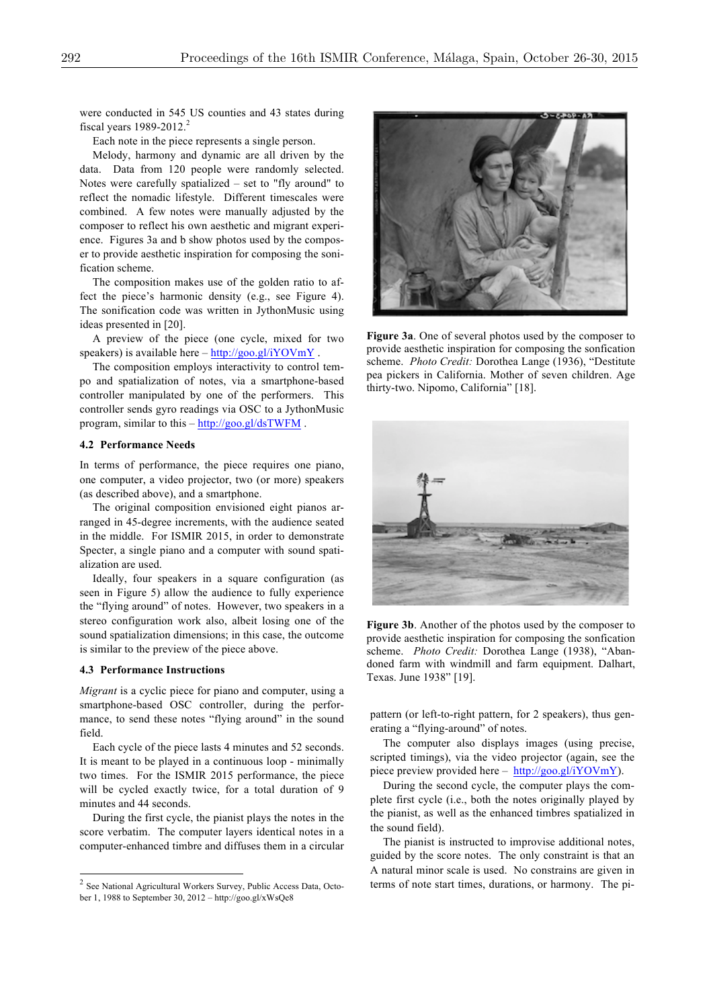were conducted in 545 US counties and 43 states during fiscal years 1989-2012.<sup>2</sup>

Each note in the piece represents a single person.

Melody, harmony and dynamic are all driven by the data. Data from 120 people were randomly selected. Notes were carefully spatialized – set to "fly around" to reflect the nomadic lifestyle. Different timescales were combined. A few notes were manually adjusted by the composer to reflect his own aesthetic and migrant experience. Figures 3a and b show photos used by the composer to provide aesthetic inspiration for composing the sonification scheme.

The composition makes use of the golden ratio to affect the piece's harmonic density (e.g., see Figure 4). The sonification code was written in JythonMusic using ideas presented in [20].

A preview of the piece (one cycle, mixed for two speakers) is available here  $-\frac{http://goo.gl/iYOWmY}{$ .

The composition employs interactivity to control tempo and spatialization of notes, via a smartphone-based controller manipulated by one of the performers. This controller sends gyro readings via OSC to a JythonMusic program, similar to this – http://goo.gl/dsTWFM .

#### **4.2 Performance Needs**

In terms of performance, the piece requires one piano, one computer, a video projector, two (or more) speakers (as described above), and a smartphone.

The original composition envisioned eight pianos arranged in 45-degree increments, with the audience seated in the middle. For ISMIR 2015, in order to demonstrate Specter, a single piano and a computer with sound spatialization are used.

Ideally, four speakers in a square configuration (as seen in Figure 5) allow the audience to fully experience the "flying around" of notes. However, two speakers in a stereo configuration work also, albeit losing one of the sound spatialization dimensions; in this case, the outcome is similar to the preview of the piece above.

#### **4.3 Performance Instructions**

*Migrant* is a cyclic piece for piano and computer, using a smartphone-based OSC controller, during the performance, to send these notes "flying around" in the sound field.

Each cycle of the piece lasts 4 minutes and 52 seconds. It is meant to be played in a continuous loop - minimally two times. For the ISMIR 2015 performance, the piece will be cycled exactly twice, for a total duration of 9 minutes and 44 seconds.

During the first cycle, the pianist plays the notes in the score verbatim. The computer layers identical notes in a computer-enhanced timbre and diffuses them in a circular



**Figure 3a**. One of several photos used by the composer to provide aesthetic inspiration for composing the sonfication scheme. *Photo Credit:* Dorothea Lange (1936), "Destitute pea pickers in California. Mother of seven children. Age thirty-two. Nipomo, California" [18].



**Figure 3b**. Another of the photos used by the composer to provide aesthetic inspiration for composing the sonfication scheme. *Photo Credit:* Dorothea Lange (1938), "Abandoned farm with windmill and farm equipment. Dalhart, Texas. June 1938" [19].

pattern (or left-to-right pattern, for 2 speakers), thus generating a "flying-around" of notes.

The computer also displays images (using precise, scripted timings), via the video projector (again, see the piece preview provided here – http://goo.gl/iYOVmY).

During the second cycle, the computer plays the complete first cycle (i.e., both the notes originally played by the pianist, as well as the enhanced timbres spatialized in the sound field).

The pianist is instructed to improvise additional notes, guided by the score notes. The only constraint is that an A natural minor scale is used. No constrains are given in terms of note start times, durations, or harmony. The pi-

 <sup>2</sup> See National Agricultural Workers Survey, Public Access Data, October 1, 1988 to September 30, 2012 – http://goo.gl/xWsQe8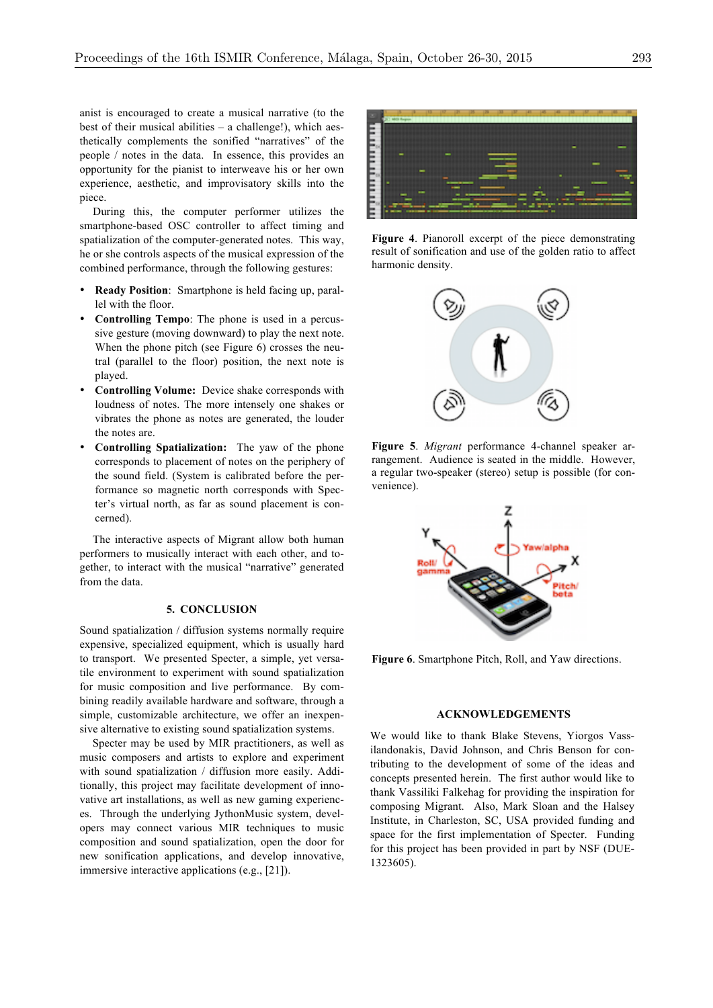anist is encouraged to create a musical narrative (to the best of their musical abilities – a challenge!), which aesthetically complements the sonified "narratives" of the people / notes in the data. In essence, this provides an opportunity for the pianist to interweave his or her own experience, aesthetic, and improvisatory skills into the piece.

During this, the computer performer utilizes the smartphone-based OSC controller to affect timing and spatialization of the computer-generated notes. This way, he or she controls aspects of the musical expression of the combined performance, through the following gestures:

- **Ready Position**: Smartphone is held facing up, parallel with the floor.
- **Controlling Tempo**: The phone is used in a percussive gesture (moving downward) to play the next note. When the phone pitch (see Figure 6) crosses the neutral (parallel to the floor) position, the next note is played.
- **Controlling Volume:** Device shake corresponds with loudness of notes. The more intensely one shakes or vibrates the phone as notes are generated, the louder the notes are.
- **Controlling Spatialization:** The yaw of the phone corresponds to placement of notes on the periphery of the sound field. (System is calibrated before the performance so magnetic north corresponds with Specter's virtual north, as far as sound placement is concerned).

The interactive aspects of Migrant allow both human performers to musically interact with each other, and together, to interact with the musical "narrative" generated from the data.

# **5. CONCLUSION**

Sound spatialization / diffusion systems normally require expensive, specialized equipment, which is usually hard to transport. We presented Specter, a simple, yet versatile environment to experiment with sound spatialization for music composition and live performance. By combining readily available hardware and software, through a simple, customizable architecture, we offer an inexpensive alternative to existing sound spatialization systems.

Specter may be used by MIR practitioners, as well as music composers and artists to explore and experiment with sound spatialization / diffusion more easily. Additionally, this project may facilitate development of innovative art installations, as well as new gaming experiences. Through the underlying JythonMusic system, developers may connect various MIR techniques to music composition and sound spatialization, open the door for new sonification applications, and develop innovative, immersive interactive applications (e.g., [21]).



**Figure 4**. Pianoroll excerpt of the piece demonstrating result of sonification and use of the golden ratio to affect harmonic density.



**Figure 5**. *Migrant* performance 4-channel speaker arrangement. Audience is seated in the middle. However, a regular two-speaker (stereo) setup is possible (for convenience).



**Figure 6**. Smartphone Pitch, Roll, and Yaw directions.

#### **ACKNOWLEDGEMENTS**

We would like to thank Blake Stevens, Yiorgos Vassilandonakis, David Johnson, and Chris Benson for contributing to the development of some of the ideas and concepts presented herein. The first author would like to thank Vassiliki Falkehag for providing the inspiration for composing Migrant. Also, Mark Sloan and the Halsey Institute, in Charleston, SC, USA provided funding and space for the first implementation of Specter. Funding for this project has been provided in part by NSF (DUE-1323605).